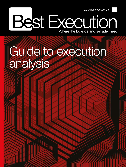www.bestexecution.net

# Best Execution

## Guide to execution analysis

Best Execution | Winter 2019/2020 12:30 2020 2020 12:30 2020 2021 2021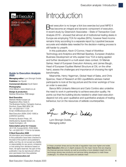

### **Guide to Execution Analysis 2020**

**Managing editor:** Lynn Strongin Dodds **Publisher:** Ian Rycott

**Commercial director:** Scott Galvin

**Photography:** Chris Mikami, www.mikami.co.uk

**Design & production:** Siobhan Brownlow, RSB design

### **Best Execution**

Markets Media Europe Ltd Registered office: Suite D, The Business Centre, Faringdon Avenue, Romford, Essex RM3 8EN, UK Tel: +44 (0)20 8017 1734 Email: info@bestexecution.net

Best Execution (ISSN: 2042-108X) is published quarterly.

Printed by Buxton Press, UK. Distributed by Spatial Global Ltd, Castle Donington, UK.

### **Subscription price for 4 issues:**

UK £135, Europe €200, ROW \$260. Tel: +44 (0)20 8017 1734 for full details.

### **© Best Execution 2020**

All information and forecasts contained in this publication have been checked to the best of the author's and publisher's ability, but they do not accept any liability or responsibility for any errors, omissions or loss arising from decisions based on them. All rights reserved. No part of this publication may be reproduced without prior permission from the publisher.

### **www.bestexecution.net**

### Introduction

Best execution is no longer a tick box exercise but post MiFID II<br>
Shas become an integral and dynamic component of execution. A recent study by Greenwich Associates – State of Transaction Cost Analysis 2019 – showed that almost all of institutional trading desks in Europe are employing TCA for equities (95%), however fixed income remains tricky according to a separate report by Liquidnet because accurate and reliable data needed for the decision-making process is still harder to unearth.

In this publication, Kevin O'Connor, Head of Workflow Technology and Analytics and Michael Sparkes, European Analytics Business Development at Virtu explain how TCA is being applied and further developed in a multi asset class context. Dr Mainak Sarkar, Head of European Execution Advisory, and James Baugh, Head of European Equities Market Structure at Citi, on the other hand, assess the challenges and importance of choosing the right benchmarks.

Meanwhile, Henry Yegerman, Global Head of Sales, and Chris Sparrow, Head of Research at ISS LiquidMetrix advises market participants to look at the big picture and the inner workings of how an order is executed.

Banca IMI's Umberto Menconi and Carlo Contino also underline the need to work in partnership to achieve execution quality. He points out that the building blocks needed to attain best execution depend not only upon qualitative and quantitative analysis of trading behaviour, but on the resources of sellside counterparties.

Lyn Strong - Dodds

Lynn Strongin Dodds, Managing editor

*In these uncertain times and as the tide of regulation rises ever higher and wider, Best Execution offers an in-depth analysis into the major trends that are shaping the financial services industry as well as providing a more detailed insight into the technology driving new products and services being developed to meet these challenges. It's where the buyside and sellside meet.*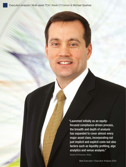"Launched initially as an equityfocused compliance-driven process, the breadth and depth of analysis has expanded to cover almost every major asset class, incorporating not just implicit and explicit costs but also factors such as liquidity profiling, algo analytics and venue analysis."

**Kevin O'Connor, Virtu**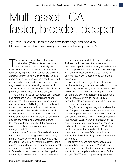### Multi-asset TCA: faster, broader, deeper

By Kevin O'Connor, Head of Workflow Technology and Analytics & Michael Sparkes, European Analytics Business Development at Virtu

 $\begin{array}{c} \hline \end{array}$ he scope and application of transaction cost analysis (TCA) and its various close relations has evolved dramatically over recent years, driven and enabled by changes in technology, regulation, market structure and client demand. Launched initially as an equity-focused compliance-driven process, the breadth and depth of analysis has expanded to cover almost every major asset class, incorporating not just implicit and explicit costs but also factors such as liquidity profiling, algo analytics and venue analysis.

The expanded use of TCA across asset classes has introduced a variety of challenges due to different market structures, data availability, cost, and the relevance of differing metrics – particularly for less liquid instruments. In addition to asset class expansion, the intended audience has also evolved. Its use is not just limited to traders or compliance departments but typically constitutes a series of elements and actionable outputs that can be relevant throughout the investment process targeting portfolio managers, risk managers and CIOs.

A major driver for many of these developments has been a raft of new regulatory requirements, not the least of which were introduced by MiFID II in Europe. The regulation requiring a demonstrable process for monitoring best execution across asset classes, using data from actual results as an input to future decisions, has galvanised the buy-side community to reassess their approach. While it is

not mandatory under MiFID II to use an external TCA service, it is required that a systematic method of capturing and reviewing trade data be in place. Approximately 95% of firms reported using TCA across asset classes at the start of 2019, up from 75% in 2017, according to Greenwich Associates\*.

In addition to these regulatory best execution requirements, the global trend towards commission unbundling has led to a greater focus on the quality of order execution to ensure trading and routing decisions are driven by objective and quantifiable results, separated from any need to pay for research or other bundled services which used to be funded by commissions.

Many firms had only just begun to address the new European regulations when we reviewed the state of preparedness of the buy-side in our 2015 best execution article, *MiFID II and Best Execution Across Asset Classes*. Our recent update of this survey captures how the industry has responded and indicates the likely path forward. While the median or typical firm has raised their game considerably, in terms of TCA data utilisation, leading firms have, if anything, pulled further ahead of the pack.

Top firms' in-house data science teams are working directly with external TCA vendors as they consume normalised benchmarked data and load it into their proprietary databases for further analysis. The TCA vendor provides guidance not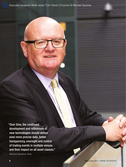"Over time, the continued development and refinement of new technologies should deliver even more precise data, better transparency, oversight and control of trading events in multiple venues and their impact on all asset classes."

**Michael Sparkes, Virtu**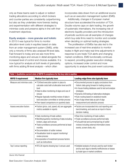only as these teams seek to adjust or redirect trading allocations according to which brokers and counter-parties are consistently outperforming but also as they undertake more forensic testing and experimentation with different strategies to minimise costs and preserve alpha in line with their investment objectives.

### Equity analysis – more granular and holistic

In 2015 it was typical for firms to monitor allocation-level costs in equities based on data from an order management system (OMS), while only a minority of firms also analysed fill-level data. Fast forward to today and we see more firms monitoring algos and venues in detail alongside the increased level of control and choices available. It is now typical for analysis at both levels of granularity, with firms adding fill-level analysis – which often

incorporates data drawn from an additional source such as an execution management system (EMS).

Additionally, changes in European market structure have accelerated the evolution of TCA. Double volume caps on dark trading, the growth of systematic internalisers, the increasing role of electronic liquidity providers and the introduction of periodic auctions are all examples of changes which buy-side firms need to monitor and consider when deciding on optimal trading strategies.

The proliferation of EMSs has also led to the increased use of real-time analytics to monitor trades in-flight and make real-time adjustments in response to pre-trade TCA alerts and changing market conditions. EMS functionality continues to expand, providing greater execution strategy options, increased order control and more opportunity to analyse the post-event outcomes.

| Table 1: Qualitative current state of MiFID II compliance for the buy-side in equities |                                                                                                                                                                                                                                                                                                                                                                      |                                                                                                                                                                                                                                                                                                                                                           |  |  |
|----------------------------------------------------------------------------------------|----------------------------------------------------------------------------------------------------------------------------------------------------------------------------------------------------------------------------------------------------------------------------------------------------------------------------------------------------------------------|-----------------------------------------------------------------------------------------------------------------------------------------------------------------------------------------------------------------------------------------------------------------------------------------------------------------------------------------------------------|--|--|
| <b>MiFID II requirement</b>                                                            | <b>Median firm typically have</b>                                                                                                                                                                                                                                                                                                                                    | Leading-edge firms also typically have                                                                                                                                                                                                                                                                                                                    |  |  |
| Measure and minimise costs                                                             | • TCA/best execution system in place to<br>calculate costs both at allocation level and fill<br>level<br>. Data to allow monitoring of algos and use of<br>venues<br>• Regular (typically monthly) review of data in<br>best execution committee or similar process<br>• Peer-based comparisons on quarterly basis                                                   | • Documented process to apply conclusions from<br>historic data going forward in trading process.<br>. In-house trading database used to test and analyse<br>strategies<br>• Dynamic A/B testing of alternative strategies<br>• Auto-routing based on analytical results<br>• Use of algo wheel data as part of algo<br>measurement and selection process |  |  |
| Assess execution factors                                                               | • Factors (price, cost, speed, etc) are aggregate<br>metrics available in reports                                                                                                                                                                                                                                                                                    | • Factors are incorporated into cost reporting and<br>benchmarking, and used as an input in future<br>decision making                                                                                                                                                                                                                                     |  |  |
| Increased monitoring                                                                   | • Daily monitoring of trade outliers<br>• Monthly/quarterly monitoring of data including<br>brokers, algos and venues<br>• Trade surveillance process performed at least<br>monthly<br>• Documentation of outlier reviews<br>• Visualisation tools to support monitoring/<br>review process<br>• Incorporation of investment process factors<br>such as instructions | • Real-time monitoring of trade outliers<br>• Trade surveillance process performed daily<br>. Full audit trail and summarised log of outlier<br>reviews including external information (news<br>events, screen shots, etc)                                                                                                                                |  |  |
| Top 5 venue reporting                                                                  | • RTS 28 reports showing top-5 venues used                                                                                                                                                                                                                                                                                                                           | . Detailed analysis of venues used by each broker<br>and by each algo to identify inefficiencies or biases<br>by trade type or market conditions                                                                                                                                                                                                          |  |  |

*Source: Virtu Financial*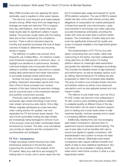Many EMS providers are now applying the same optionality used in equities to other asset classes.

The trend for more frequent post-trade analysis remains strong. While many firms are beginning to leverage pre-trade and real-time TCA to support intra-day optimisations, most review their posttrade results daily for significant outliers in equity trading. This process usually starts with the trading desk and is then checked by the compliance function. There is still an important place for monthly and quarterly processes that look at larger volumes of trades to determine any recurring trends or biases.

The definition of outliers has evolved, firms frequently use multiple filters – for instance a basis point threshold coupled with a minimum value – to highlight true deviations in performance. Similarly, multi-level analysis may incorporate information relating to portfolio manager instructions to assess trading desk performance and trader instructions to accurately evaluate broker performance.

Another hot topic for leading firms is alpha profiling. Greenwich Associates reports that more than a third of those surveyed now conduct analysis of this type, linking the execution strategy and its outcomes back to the investment decision and portfolio construction process.

Previously used by leading-edge firms exclusively, algo wheel technology is becoming main stream among buy-side clients. Virtu's Algo Wheel, originally developed as a best execution order routing solution for equities, has now expanded into FX and futures asset classes. The use of both automated routing and algo wheels are increasingly being leveraged to remove much of the process noise and (often unintended) biases introduced by humans. The data, once normalised, can provide an objective and fair comparison for counterparties and strategies.

### FX TCA – transparency

Foreign exchange market structure has made tremendous advances in the last five years, supporting the evolution in the analysis of the FX market. Many buy-side firms are bringing FX trading back in-house, and in some cases this has led to increased algo usage and request for quote (RFQ) platform adoption. The use of WM Fix related trades has also come under intense scrutiny after allegations of manipulation by market participants of these time-specific price benchmarks. Lastly, improvements in technology now make capturing accurate timestamps achievable, providing the trader with more accurate data to perform better analysis. The combination of better data and new tools has significantly enhanced the quality and scope of analysis available in the fragmented global FX market.

The implementation of FX TCA by buy-side desks conducting their own trades, rather than outsourcing to the banks, has been widespread. Using data from an EMS and/or FX trading platform allows for meaningful data examination and guides the calibration of strategies accordingly. This includes the detailed review of algo behaviour and performance, as well as strategy options such as netting. Benchmarking for FX trading has also progressed to reflect the increased data reliability. The array of metrics now includes simple mid-price and bid/ask metrics as well as more advanced calculations such as size-adjusted spread and cost impact models.

The reliance on pre-trade tools, such as Virtu's FX ACE model, has become more widespread in FX with currency pairs exhibiting patterns related to available liquidity at different times of the day. This information can be used in decision-support prior to trading and in post-trade review to help maximise liquidity, minimise spreads and to assist in comparing different strategies.

Additionally, leading firms are now leveraging peer-based comparisons, allowing them to experiment beyond standard benchmarking. The use of peer data must be handled with care to ensure true apples-to-apples comparison, with standardisation and curation to ensure the data is clean and relevant. Meaningful peer-based comparisons also require sufficient breadth and depth of data to have statistical significance. But such data can be invaluable in helping identify areas which need further scrutiny in what is a very fragmented market.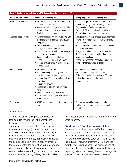| Table 2: Qualitative current state of MiFID II compliance for the buy-side in FX |                                                                                                                                                                                                                                                                                                                                                                                                                                               |                                                                                                                                                                                                                                                                                                                                                                                                                                                           |  |  |
|----------------------------------------------------------------------------------|-----------------------------------------------------------------------------------------------------------------------------------------------------------------------------------------------------------------------------------------------------------------------------------------------------------------------------------------------------------------------------------------------------------------------------------------------|-----------------------------------------------------------------------------------------------------------------------------------------------------------------------------------------------------------------------------------------------------------------------------------------------------------------------------------------------------------------------------------------------------------------------------------------------------------|--|--|
| <b>MiFID II requirement</b>                                                      | <b>Median firm typically have</b>                                                                                                                                                                                                                                                                                                                                                                                                             | Leading-edge firms also typically have                                                                                                                                                                                                                                                                                                                                                                                                                    |  |  |
| Measure and minimise costs                                                       | · Daily measurement of costs for spot, forward<br>and swap transactions<br>• Regular (typically monthly) review of data in<br>best execution committee or similar process<br>· Quarterly peer group comparisons                                                                                                                                                                                                                               | • Documented process to apply conclusions from<br>historic data going forward in trading process.<br>• Regular detailed FX algo data analysis<br>• Dynamic A/B testing of alternative strategies<br>• Auto-routing in place based on analytical results                                                                                                                                                                                                   |  |  |
| Assess execution factors                                                         | • FX flows tagged by investment objective with<br>relevant benchmark applied - e.g. 4:00pm<br>fixing trades<br>• Analysis of market impact by venue,<br>aggregator or liquidity provider<br>· Factors (price, cost, speed, etc) are aggregate<br>metrics available in reports<br>• Comparison of different FX strategies -<br>netting, RFS, RFQ, time of day, algos, etc<br>· Separate analysis for active executions and<br>custodial trades | • Use of pre-trade models and decision support tools<br>• Analysis of execution method - e.g. full amount,<br>sweep, all-or-none<br>• Separate analysis of market impact from rejected<br>orders and filled orders<br>• Analysis of 'last look' trades versus no-last-look<br>• Analysis of global code of conduct signatories<br>versus non-signatories<br>• Analysis of FX trades linked to other trades (e.g.<br>fixed income or equity basket trades) |  |  |
| Increased monitoring                                                             | • Daily monitoring of FX outliers<br>• Monthly/quarterly monitoring of FX data<br>including counter-parties and algos<br>• Incorporation of FX process factors such as<br>instructions<br>• Losing quote analysis<br>• FX trade surveillance process run at least<br>monthly<br>• Documentation of FX outlier reviews<br>. Visualisation tools to support FX monitoring/<br>review process                                                    | • Real time monitoring of FX outliers<br>• FX trade surveillance process run daily<br>. Full audit trail and summarised log of FX outlier<br>reviews including external information (news,<br>screen shots, etc)                                                                                                                                                                                                                                          |  |  |
| Top 5 venue reporting                                                            | • RTS 28 reports showing top-5 counter-parties<br>used                                                                                                                                                                                                                                                                                                                                                                                        | • Detailed analysis of FX venues to identify<br>inefficiencies or biases by trade type or market<br>conditions                                                                                                                                                                                                                                                                                                                                            |  |  |

### *Source: Virtu Financial*

 Analysis of FX trading has been used by leading edge firms to look at the total cost of trades in other instruments. In other words, if switching from one asset class to another involves a currency exchange (for instance, from bonds to equities, or from European to US equities), it is now possible to factor in the costs related to implementing the currency transaction alongside the cost associated with the underlying trades themselves. Often the cost of delaying a currency purchase can outweigh the gains made by the related trades – assuming the currency had been traded instantly. It is highly likely that this kind of

multi-asset analysis will become mainstream in the years to come.

### Fixed income TCA – time to play catch-up

Compared to equities or even to FX, fixed income is a late entrant to the world of analytics. Driven by many of the same factors as other asset classes, FI TCA is finally starting to catch up – mainly due to the regulatory requirements from MiFID II and the availability of reference data. The increased use of electronic platforms in fixed income assists firms in capturing data and assessing the outcomes against a variety of benchmarks and metrics. In some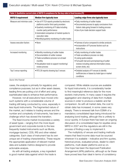| Table 3: Qualitative current state of MiFID II compliance for the buy-side in fixed income (FI) |                                                                                                                                                                                                                                                                                          |                                                                                                                                                                                                                                      |  |  |
|-------------------------------------------------------------------------------------------------|------------------------------------------------------------------------------------------------------------------------------------------------------------------------------------------------------------------------------------------------------------------------------------------|--------------------------------------------------------------------------------------------------------------------------------------------------------------------------------------------------------------------------------------|--|--|
| <b>MiFID II requirement</b>                                                                     | <b>Median firm typically have</b>                                                                                                                                                                                                                                                        | Leading-edge firms also typically have                                                                                                                                                                                               |  |  |
| Measure and minimise costs                                                                      | • Use of FITCA reports provided by electronic<br>platforms and/or third-party providers<br>• Quarterly monitoring of FI data including<br>counter-party performance<br>• Automated comparison of market quotes to<br>execution rates<br>• Monthly/quarterly monitoring of outlier trades | • Daily monitoring of outlier trades<br>· Documented process to apply conclusions from<br>historic data going forward in trading process<br>• Use of pre-trade decision support tools                                                |  |  |
| Assess execution factors                                                                        | $\bullet$ None                                                                                                                                                                                                                                                                           | • Fairness of price compared to similar products<br>• Incorporation of FI process factors such as<br>instructions                                                                                                                    |  |  |
| Increased monitoring                                                                            | • Monthly monitoring of outlier trades<br>• Documentation of outlier reviews<br>• Trade surveillance process run at least<br>monthly<br>• Visualisation tools to support monitoring/<br>review process                                                                                   | • Daily monitoring of outlier trades<br>• Trade surveillance process run daily<br>• Losing quote analysis<br>• Full audit-trail and summarised log of outlier<br>reviews including external information (news,<br>screen shots, etc) |  |  |
| Top 5 venue reporting                                                                           | • RTS 28 reports showing top 5 venues                                                                                                                                                                                                                                                    | • Detailed analysis of FI venues to identify<br>inefficiencies or biases by trade type or market<br>conditions                                                                                                                       |  |  |

*Source: Virtu Financial*

cases, the analysis is primarily for regulatory and compliance purposes, but as in other asset classes, leading firms are putting a lot of effort and using sophisticated data to enhance their performance.

However, not all executions have moved onto such systems with a considerable volume of trading still being conducted by voice, especially in less liquid instruments. The fragmented nature of the market, as it relates to trading venues and the number and complexity of instruments, has been a challenge which has slowed the transition.

The fixed income market incorporates a variety of asset types – ranging from the more liquid government and corporate bonds to the less frequently traded instruments such as Munis, mortgage-backed, CDS, IRS and other related categories. Each class of instrument has its own unique set of trading characteristics. These require the appropriate application of relevant market data and suitable metrics designed to provide actionable analysis.

As with all trading analysis, a key ingredient is good market data against which the trade is compared. While reliable sources are available for liquid instruments, it is considerably harder to find meaningful reference data for the more esoteric instruments. In many cases it requires the aggregation and cleaning of data from multiple sources in order to produce a realistic and fair comparison. As with all market data, the cost to obtain data has increased, in some cases very steeply. There is renewed talk from ESMA of a mandatory consolidated tape being introduced for analysing bond trading, although this is unlikely to occur quickly. In Europe there has been an ongoing discussion of a consolidated tape for equities since MiFID in 2007 and the regulators are still in the process of finding a way to implement it.

The multiplicity of venues and trading methods means that fixed income data must be sourced wherever it is available – indicative and firm quotes, historical prices, evaluated prices, dealer-to-client platforms, multi-dealer platforms and so on. One hope has been the Approved Publication Arrangement (APA) platforms, although so far these have proved less than ideal in terms of consistency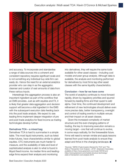

and accuracy. To incorporate and standardise a range of data sources into a coherent and consistent repository requires significant scale and is not something any individual buy-side firm can easily do. Hence the need for an external analytics provider who can step in as the aggregator, cleanser and curator of vast amounts of data from these various inputs.

Interestingly this aggregation process is also an important ingredient as part of the workflow that an EMS provides. Just as with equities and FX, it is likely that greater data aggregation and decision support will become a vital ingredient in the EMS with the subsequent execution data feeding back into the post trade analysis. We expect to see leading firms implement deeper integration of pre and post-trade analytics for fixed income as trading technologies develop further.

### Derivatives TCA – a mixed bag

Derivatives TCA is hard to summarise in a simple table. The most liquid instruments, such as listed index futures, have characteristics similar to global equities. OTC instruments are much harder to measure, and the availability of data and level of sophisticated analysis is akin to what is found in illiquid fixed income. As median firms and leadingedge firms expand their analysis and monitoring

into derivatives, they will require the same tools available for other asset classes – including cost models and peer group analysis. Although data is available, the analysis and monitoring performed for derivatives by most firms lag other asset classes with the same liquidity characteristics.

### Conclusion – how far we have come

The world of analytics continues to move forward rapidly, driven by regulatory priorities and spurred forward by leading firms and their quest to add alpha. Over time, the continued development and refinement of new technologies should deliver even more precise data, better transparency, oversight and control of trading events in multiple venues and their impact on all asset classes.

Given the increased complexity of market structure and the ever-changing patterns of trading, the key to improving execution remains a moving target – one that will continue to evolve, in some ways radically, for the foreseeable future. Firms will need to remain nimble and apply lessons learned from post-trade analysis to ensure they adapt and thrive in the changing landscape. ■

*\*Sources: "MiFID II Fuels Investor Demand for TCA" and "The State of Transaction Cost Analysis – 2019", Greenwich Associates; available at https://www.greenwich.com/node/109726 and https://www.greenwich.com/market-structure-technology/ state-of-transaction-cost-analysis-2019*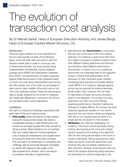### The evolution of transaction cost analysis

By Dr Mainak Sarkar, Head of European Execution Advisory, and James Baugh, Head of European Equities Market Structure, Citi.

### Introduction

The post trade workflow for most institutions on the buy side typically consists of the following steps: record all trade data and enrich it with the relevant market data in order to compute a set of diverse benchmarks, the most popular being Implementation Shortfall (IS), volume weighted average price (VWAP) and participation-weightedprice (PWP). The performance of orders measured against these benchmarks is then analysed based on stock and order level characteristics (such as the bid-offer spread, size of the order as percentage of daily volume, daily volatility of the stock and so on). This is the attribution phase. Finally the performance data is usually analysed by the broker to measure any systematic differences in execution, all of this is as mandated under current regulations.

### Limitations

We start by noting the challenges associated with each step of the post trade process:

- **Data quality** issues and latency in data capture during the measurement phase. We observe considerable diversity in data infrastructure and investment amongst buyside firms that connect to Citi as a broker. Most institutions do not maintain their own market data as it involves significant cost of setup and maintenance and usually resort to buying the same from third party providers. This can lead to an added layer of complexity and challenge. We do encounter frequent complaints by clients with regards to the quality of the data received from vendors, which can lead to inconsistent estimation of performance.
- Selecting the right **benchmarks** is critical and this can vary by the type of firm and trading objective. For instance a quant fund with short term alpha compared to passive investors have both different trading objectives and horizons and therefore utilise different performance benchmarks. A narrow focus on a particular benchmark can potentially lead to the algorithm trying to achieve that goal possibly at the exclusion of other important goals, thereby hampering best execution as broadly defined under MiFID II. For instance, slippage against arrival may be reduced by trading intensively (small orders only), however, this can lead to high levels of impact and price reversion, which is not desirable. Conversely, too many objectives can often cloud the findings regarding performance, therefore making any changes to trading difficult. As a broker we have observed significant variation in how clients approach this and various clients are grappling with this on an ongoing basis as there is no single size fits all solution to this problem.
- **Attribution** can often be challenging- for instance, if the stock moved adversely during trading, decomposing this move into market impact caused by the trading of the algorithm with the rest being natural alpha in the stock is usually challenging. Various approaches using index and sector level beta adjustment exist, however they are not entirely satisfactory in their outcome. Similarly, small sample sizes can lead to the analysis frequently being restricted (or dominated by notional weighting) to the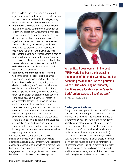large capitalisation / more liquid names with significant order flow, however, the performance across brokers in the less liquid category may be more relevant but difficult to measure.

- **Evaluation** of brokers may be similarly biased due to the skewed asymmetric distribution of order flow, particularly when they are manually traded, where the allocation decision may be driven by perception or muscle memory. The algorithmic wheel setup seeks to ameliorate these problems by randomising the flow of orders across brokers. Citi's experience in this regard has been varied as we are well represented on multiple wheels across a host of clients. Wheels are frequently time consuming to setup and calibrate. The process of collecting the right data across brokers and adjust it for order differences to achieve a fair comparison can be quite challenging.
- **Statistics / machine learning** working with large datasets (larger clients can trade thousands of orders in a day) usually requires key decisions to be taken regarding how to deal with outliers (identify, remove, winsorise, etc), how to price the unfilled portion of any orders (opportunity cost), whether to penalise under participation by brokers under adverse conditions (scaling wrongly), etc. mostly in an automated fashion – all of which require sophisticated analysis on a large enough sample of orders by a specialised team to draw meaningful conclusions. Citi has observed a significant uptick in the hiring of such professionals in recent times on the buy side. There is a trend towards using more advanced statistical analysis and machine learning techniques to analyse performance. This is an industry trend which has been strengthened by regulatory requirements.

Citi recognised the complexity of the above mentioned process of post trade analytics and created an Execution Advisory team, whose role is to engage and consult with clients to help improve their benchmark performances. There has been significant engagement across a range of clients who have benefitted from this more consultative approach.



"A significant development in the post MiFID world has been the increasing automation of the trader workflow and has seen the growth in the use of algorithmic wheels. The wheel engine randomly identifies and allocates a set of 'easy to trade' orders across a list of brokers."

**Dr Mainak Sarkar, Citi**

### Challenges for the broker

A significant development in the post MiFID world has been the increasing automation of the trader workflow and has seen the growth in the use of *algorithmic wheels*. The wheel engine randomly identifies and allocates a set of 'easy to trade' orders across a list of brokers. The identification of 'easy to trade' can be either done via a pretrade model (estimated impact cost function) or by a set of rules such as percentage of daily volume and/or notional limits (all orders less than \$1 million are routed to the wheel for instance). At set frequencies – usually a month or a quarter – the performance across brokers is analysed and the wheel is reweighted such that the broker performing better receives more orders from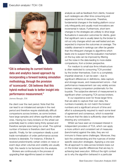

"Citi is enhancing its current historic data and analytics based approach by incorporating a forward looking simulation methodology, through the provision of 'scorecards'. Citi believes that this hybrid method leads to better insight into performance measurement."

**James Baugh, Citi**

the client over the next period. Note that this can lead to an imbalanced sample in the next period and therefore require statistically difficult comparisons across brokers, as some brokers have large samples and others significantly smaller ones. Having too many brokers on the wheel can potentially lead to orders being thinly spread and therefore sample sizes being too small. The optimal number of brokers is therefore client and flow specific. Finally, for fair comparison ideally a post trade normalisation of order performance across brokers is desirable. For instance, if Broker A received predominantly certain orders on news or event days when volumes and volatility are usually high; this needs to be factored into the analysis.

Brokers are continuously in the process of upgrading their algorithms based on internal

analysis as well as feedback from clients, however such redesigns are often time consuming and expensive in terms of resources. Therefore, fundamental changes in the trading platform occur only infrequently and usually most innovations are incremental in nature. Furthermore, short term changes to the strategies are unlikely to drive large fluctuations in execution outcomes for clients, given that significant care is usually taken by the broker to roll out only changes which are well tested and are expected to improve the outcomes on average. The volatility observed in rankings can often be greater than the infrequent changes to algorithms which leads one to suspect that the evaluation mechanism on the buy side can be improved by filtering out the noise in the data leading to more stable comparisons, from a broker perspective.

For medium to small size firms infrastructure is often restricted to consuming TCA provided by the broker themselves. Even to a completely impartial observer, it can be seen – due to significant differences in definitions, data capture and storage issues, and measurement errors – that performance measurement can vary widely across brokers making comparison problematic for the buyside. The subjective element of measurement is significant when comparing TCA across brokers.

In our experience even for those larger firms that are able to capture their own data, the numbers invariably do not match the brokers' numbers and a significant amount of time and effort is subsequently required to reach some level of agreement and consensus, which is essential to ensure that the data is sufficiently clean before drawing any conclusions .

Whilst we have seen an increased interest in independent providers of TCA, which can apply a more uniform and consistent set of measures (benchmarks) against the data, they are not immune to these same challenges. Moreover, they lack the understanding and the nuances of broker specific execution strategies. Applying a one size fits all approach to data across brokers loses out on the broker specific differences that are key to achieving best execution. Without the right context as to why the algorithm behaved in a particular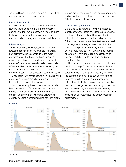way, the filtering of orders is based on rules which may not give informative outcomes.

### Innovations at Citi

Citi is developing the use of advanced machine learning techniques to drive a more proactive approach to the TCA process. A number of these techniques, including the use of peer group analysis and clustering, are discussed in this article.

### I. Peer analysis

A new feature selection approach using random forest models has been implemented to highlight how different variables contribute to the overall performance of flow from a particular underlying client. This tool is also helping to identify areas of underperformance via potential trader biases under different market conditions when the price may be moving in and out of favour, such as systematic modifications, limit price selections, cancellations, etc.

Actionable TCA of this nature is key in delivering client specific recommendations, which in turn is leading to better overall performance.

Machine learning based peer analysis has also been developed at Citi. Clusters are compared across different clients with similar objectives thereby identifying any systematic differences in order flow. Using clusters identified for each client, we can make recommendations on customisations and on strategies to optimise client performance. Exhibit 1 illustrates this approach.

### II. Stock categorisation

Citi is also using machine learning methods to identify different clusters of orders. We use various stock level characteristics. The most standard being bid-offer spread, volatility and queue sizes. Other more microstructure level features are used to endogenously categorise each stock in the universe to a particular category. For instance one category may be high volatility, small queue size stocks. There are multiple applications of this approach both at the pre-trade and also post-trade phase.

This model can be used pre-trade to determine the right strategy. For instance where a client is using VWAP algorithms for low volatility but wide spread stocks. The EAS team actively monitors the performance goals and can use these tools to come up with custom recommendations for different clients. In this case one recommendation may be to change the passive layering of the book. In essence security and order level clustering methods allow us to draw conclusions at the client level, which ultimately leads to better execution performance.



*Source: Citi*

Exhibit 1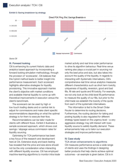### Exhibit 2: Saving breakdown by strategy



*Source: Citi*

### III. Forward looking

Citi is enhancing its current historic data and analytics based approach by incorporating a forward looking simulation methodology, through the provision of 'scorecards'. Citi believes that this hybrid method leads to better insight into performance measurement. Each scorecard highlights alternative strategies for liquidity provisioning. This innovative approach marries the client's objective with market conditions and available internal liquidity to come up with theoretical improvements in execution versus the client's benchmark.

The scorecard can be used by high or low touch trading desks and or central risk to adjust for commissions and make client specific recommendations depending on what the optimal strategy is for them to execute their flow.

Recommendations can be tailor made for clients with different flows. Exhibit 2 illustrates a sample scorecard approach, which shows cost savings / slippage versus commission rates for liquidity sourcing.

Optimising for TCA performance has been a key focus of the research and development here at Citi. Extensive study and back-testing has revealed that the price and size alone should not be the only consideration when interacting with different liquidity sources. Citi has employed machine-learning algorithms to monitor intra-trade market activity and real time order performance to drive its algorithm behaviour. Real-time venue ranking also plays a crucial part in sourcing not only the best price and size, but also takes into account the quality of the liquidity. In regards to interacting with Systematic Internalisers, Citi's comprehensive real time venue analytics measures different characteristics such as short term toxicity, uniqueness of liquidity, reversion, good and bad fills, fill rate and quote and fill toxicity. For example, we not only look at the child-level fill performance to measure the quality of our fills, but prior to the child trade we establish the toxicity of the quote from each of the systematic internalisers.

This information is fed to the Smart Order Router to determine its routing decisions. Furthermore, the routing decision for taking and posting liquidity is also regulated for different strategy types based on the urgency level – a very aggressive strategy may still interact with toxic liquidity source to satisfy liquidity demand. These enhancements help us to tailor our execution strategies and improve performance.

### IV. Case study

### TCA driven enhancements to algorithms

Citi measures performance across a wide range of clients and uses the findings in designing better products that help clients achieve optimal outcomes – an example is given below. Citi is in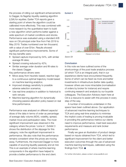the process of rolling out significant enhancements to Dagger, its flagship liquidity-seeking algorithm (LSA) for equities. Earlier TCA reports gave a starting point of where the algorithm could be calibrated more effectively. This was combined with more research by the quantitative team to build a new algorithm which performs better against a wide spectrum of market conditions and stocks. Performance was evaluated using a standard A/B race on Citi principal order flow from Feb 2019 to May 2019. Trades numbered over ten thousand, with a value of over \$1bn. Results showed significant performance improvements. Some of the key benefits were:

- Spread capture improved by 54%, with similar average fill rates;
- Spread crossing reduced by 42%;
- Similar average order duration and fill rates to the classic Dagger.

Key performance drivers were:

- Move away from heuristic based, reactive logic to a continuous optimal trajectory model based on machine learning analytics;
- Improved strategy sensitivity to possible adverse selection scenarios;
- Use real time analytics in addition to historical to rank venues;
- Machine learning algorithm for dynamically choosing passive allocation policy based on real time performance.

Performance was analysed on different aspects/ slices of the data in terms of order as percentage of average daily volume (ADV), volatility, spread, market move and participation rates. The most significant improvement was observed in the category where the prices 'come in'. Exhibit 3 shows the distribution of the slippage for this category; note the significant improvement in performance. We also note that the performance remains consistent when the prices are moving away. Furthermore, the improved Dagger is more capable of sourcing liquidity passively and at mid. This is an example of where machine-learning components in the algorithm have helped to provide a better performance to the end client.

### Exhibit 3



*Source: Citi*

### Conclusion

In this note we have outlined some of the shortcomings of the post trade analytics process (of which TCA is an integral part), that in our experience clients have encountered frequently. Some of which can be fixed via more and better investments in infrastructure (better data quality), however others are more intractable (normalisation of orders by broker for instance) and require continuing research and analysis by our buyside colleagues. The Execution Advisory team here at Citi is a resource to assist with this process in every step of the way.

A number of innovations undertaken in this space have been outlined above. Our application of advanced machine learning techniques to TCA and using real-time analytics to minimise the implicit costs of trading is proving invaluable in providing the performance metrics our clients need to improve performance, meet best execution requirements and measure and rank broker performance.

Finally we gave an illustration of product design based on inputs obtained from TCA, which led to significant improvement for the client and better execution outcomes through the use of advanced machine learning techniques, calibrated using the findings from TCA. ■

*For further information, please contact: emea.eas@citi.com*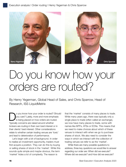

### Do you know how your orders are routed?

By Henry Yegerman, Global Head of Sales, and Chris Sparrow, Head of Research, ISS LiquidMetrix

o you know how your order is routed? Should you care? Lately, more and more emphasis is being placed on how orders are routed. Typically concerns are raised around whether brokers are routing in their own best interest or in their clients' best interest. Other considerations relate to whether certain trading venues are 'toxic' and lead to deterioration of performance.

Let's begin with a bit of background. In order to realise an investment opportunity, traders must first acquire a position. They can do this by buying or selling shares of stock in the 'market'. While this sounds quite simple and maybe obvious, the term 'market' hides a lot of complexity. The reason is

that the 'market' consists of many places to trade. While many years ago, there was typically only a single place to trade (often called an exchange), we now have many places to trade, some with names like MTFs, ATSs or ECNs. This means that we need to make choices about which of these venues to interact with when we go to purchase shares of stock. We also need to consider the ways in which we interact with the collection of trading venues we refer to as the 'market'.

While there are many possible questions to address, three key questions we would like to answer regarding our order are: When did we execute? Where did we execute? and How did we execute?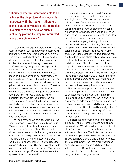"Ultimately what we want to be able to do is to see the big picture of how our order interacted with the market. It therefore seems natural to visualise this interaction in a picture. We can develop such a picture by plotting the way we interacted along three dimensions."

The portfolio manager generally knows why they want to execute, but the other three questions all relate to how the order was managed by a broker. The brokers use technologies such as algos that determine timing, and routers that determine where to direct the order and the way to execute.

One of the key things being managed in this approach is market impact. When we go to the market, we don't want to move the market too much as that can only hurt our performance. At the same time, the role of the market is to provide price discovery – the process of finding equilibrium prices that balance supply and demand. Therefore, we want to develop tools that can allow us to determine the answers to the questions of where, when and how we should trade so we can understand why we got the outcome we did.

Ultimately what we want to be able to do is to see the big picture of how our order interacted with the market. It therefore seems natural to visualise this interaction in a picture. We can develop such a picture by plotting the way we interacted along three dimensions.

The first dimension we care about is time – we want to answer the question 'when did we trade?' We want to be able to show how much volume we traded as a function of time. The second dimension we care about is the trading venue – we want to answer the question 'where did we trade?' The third dimension we care about is the way we interacted with the market – did we cross the spread and remove liquidity? did we post our order passively in the book providing liquidity? or did we execute in a dark pool? – we want to answer the question 'how did we trade?'

Unfortunately, pictures are two dimensional, so how can we show these three dimensions in a single picture? Well, fortunately, there are colour pictures! So maybe we can answer all three questions by developing a colour image. We can show a time dimension along the horizontal dimension of our picture, and a venue dimension along the vertical dimension of our picture and then the colour can indicate how we traded.

We use the property that any colour is a mixture of red, green and blue. So, if we use red to represent the 'active' volume from crossing the spread, blue to represent the 'passive' volume and green to represent dark volume, then we can combine three ways of interacting with a venue into a colour which is itself a mixture of active, passive and dark volume. The intensity of the colour is proportional to the amount of volume while the actual colour is determined by the distribution of active/passive/dark. When the pixel is red, it means the volume in that bucket was all active. If the pixel is blue, the volume was all passive, while if green, then the volume was all dark. Other colours are mixtures of these three 'primary' colours.

This has real-life applications in evaluating the order routing of different brokers and can be used as an input into making Algo wheel strategies. Analysing execution data in this way allows us to clearly see the differences in order routing between brokers both under similar and different trading conditions. How differently do different algos trade? How similar are different brokers' algos? How does my trading strategy influence my realised market impact?

Consider the differences between the routing in Figures 1 and 2. These 2 images both show a single order in AMD done withing 6 weeks of each other. The x-axis represents the time of day, and in this example shows 30-minute time buckets between the open and close of the market (9:30 – 16:00). Each row shows a different trading venue. The colour shows the way the order was traded by combing active, passive and dark fraction of volume as an RGB triplet, while the brightness represents the fraction of the overall order done at the given time on the given venue.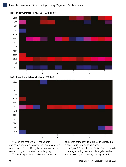

Fig 1: Broker A, symbol = AMD, date =  $2019-05-03$ 





We can see that Broker A mixes both aggressive and passive executions across multiple venues while Broker B largely executes on a single venue throughout most of the trading day.

This technique can easily be used across an

aggregate of thousands of orders to identify the broker's order routing tendencies.

In Figure 3 (low volatility), Broker B relies heavily on a single trading venue and is largely passive in execution style. However, in a high volatility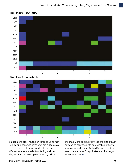

Fig 3: Broker B – low volatility





environment, order routing switches to using many venues and becomes somewhat more aggressive.

The use of color allows us to clearly see differences in venue selection, timing and the degree of active versus passive trading. More importantly, the colors, brightness and size of each box can be converted into numerical equivalents which allow us to quantify the differences for best execution and specific applications such as Algo Wheel selection. ■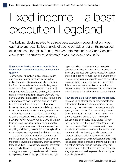### Fixed income – a best execution Legoland

The building blocks needed to achieve best execution depend not only upon qualitative and quantitative analysis of trading behaviour, but on the resources of sellside counterparties. Banca IMI's Umberto Menconi and Carlo Contino\* discuss the importance of partnership in assuring execution quality.

### What level of feedback should buyside firms expect from their counterparties on execution quality?

Technological innovation, digital transformation and new regulatory obligations following the global financial crisis are dramatically reshaping the financial markets landscape, affecting every asset-class. Relationship dynamics, the level of engagement and the sellside and buyside roles are shifting from the traditional bilateral workflow to a new paradigm. The buyside is not only taking more ownership of its own trades but also rethinking its role in market transformation. It has also increased its appetite for sellside collaboration and investment in trading and risk management tools.

Changing dynamics have forced the sellside to evolve and adopt flexible models to satisfy the buyside's liquidity demand requirements. They have to invest huge resources in technology innovation, in order to generate greater efficiencies as well as acquiring and sharing information and analytics in a more complex and fragmented market environment.

The biggest challenges remain efficient multimarket connectivity and real market data across the trade lifecycle: order creation, order placement, trade execution, TCA analysis, clearing, settlement and custody. The execution quality of a trading strategy, employed by buyside execution desks to capture alpha or to limit portfolio risk, strongly

depends today on communication networks, collaboration tools, and continuous feedback. This is not only the case with buyside execution desks, brokers and trading venues, but also among other financial ecosystem participants, such as custodian banks, clearing houses and central depositories. This is because best execution is more than just the transaction price. It also needs to embrace the entire trade workflow with a much broader horizon.

How does the execution protocol impact that? Leverage limits, stricter capital requirements and balance sheet restrictions on proprietary trading are causing many sellsides to rebalance towards agency broker models. They are helping clients to execute trades on trading venues rather than directly assuming portfolio risk. This market evolution had been pursued by Banca IMI from the beginning, with the launch of the Market Hub platform back in 2008. The transformation from a bilateral, voice-execution model towards a new communication and trading model, based on a network of trading platforms, electronic chats, systems connectivity, and sophisticated EMS/OMS tools necessitated a change in trading culture. This did not only include human resource hiring, but the adoption of different communication channels, language formats, trading protocols and a higher level of collaboration.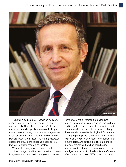

To better execute orders, there is an increasing array of venues to use. This ranges from the conventional (MTFs, RMs, OTFs and ISs) to the unconventional (dark pools) sources of liquidity, as well as different trading protocols (All-to-All, click-totrade, CLOB, Auctions, Direct connectivity, RFMs, Portfolio Trade, anonymous RFQs-to-all). However, despite the growth, the traditional electronic RFQ (request for quote) model is still central.

We are still a long way from real market structure changes, and the new market ecosystem integration remains a 'work-in-progress'. However,

there are several drivers for a stronger fixed income trading ecosystem including standardised and integrated market connectivity solutions and communication protocols to reduce complexity. There are also shared technological infrastructures among all participants as well as different trading relationship levels, with respect to the recasting of players' roles, and putting the different protocols in place. Moreover, there has been broader implementation of machine learning and artificial intelligence solutions for the data 'tsunami' created after the introduction of MiFID II. Last but not least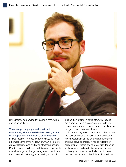

is the increasing demand for readable smart data and value analytics.

### When supporting high- and low-touch executions, what should dealers be cognizant of in supporting their client's performance?

In fixed income it is possible for the buyside to fully automate some of their execution, thanks to more data availability, axes and price streaming activity. Buyside execution desks see this as an opportunity as well as a game changer. A high-touch and lowtouch execution strategy is increasing automation

in execution of small size tickets, while leaving more time for traders to concentrate on larger tickets on a bilateral bespoke basis as well as the design of new investment ideas.

To perform high-touch and low-touch execution, the buyside needs to modify its best execution rules accordingly, based on both a quantitative and qualitative approach. It has to reflect their perception of what is low-touch or high-touch as well as ensure trading decisions are addressed to the right counterparties. It also has to make the best use of low-touch efficiency in small size